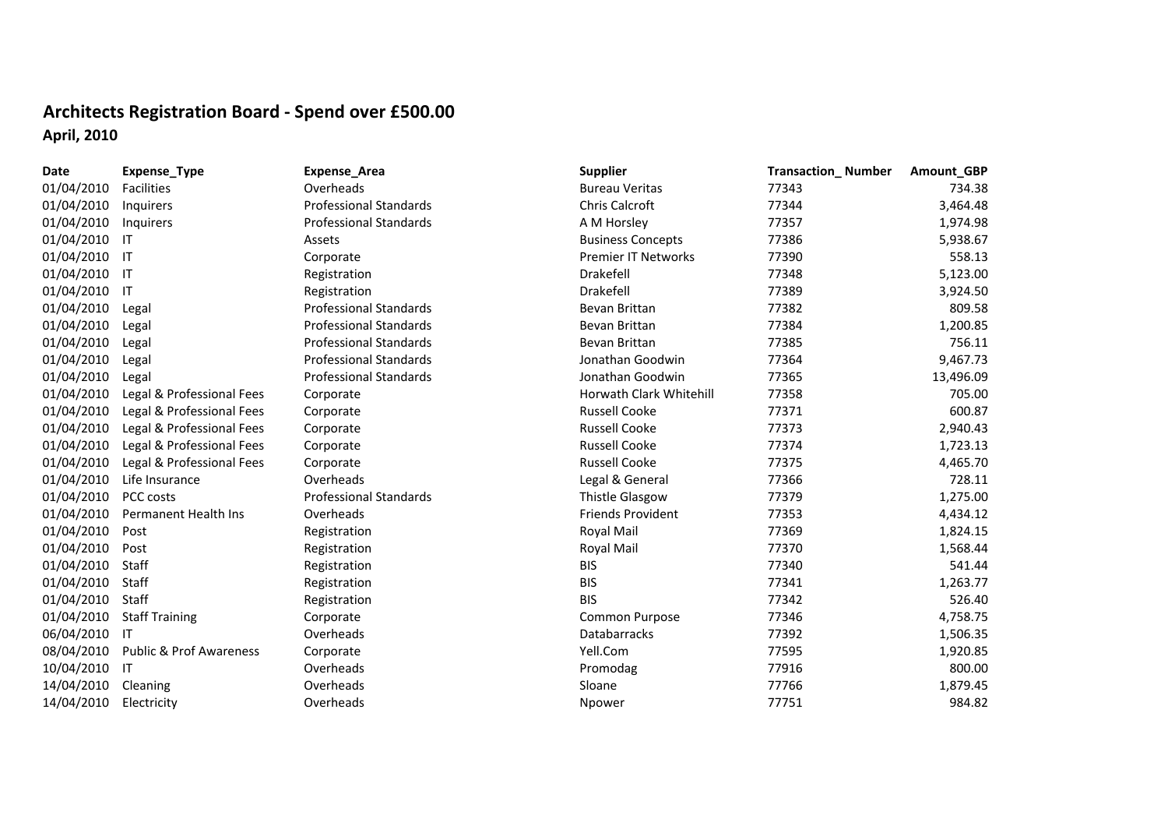## **Architects Registration Board ‐ Spend over £500.00 April, 2010**

| Date       | Expense_Type                       | Expense_Area                  | <b>Supplier</b>                | <b>Transaction_Number</b> | Amount_GBP |
|------------|------------------------------------|-------------------------------|--------------------------------|---------------------------|------------|
| 01/04/2010 | Facilities                         | Overheads                     | <b>Bureau Veritas</b>          | 77343                     | 734.38     |
| 01/04/2010 | Inquirers                          | <b>Professional Standards</b> | Chris Calcroft                 | 77344                     | 3,464.48   |
| 01/04/2010 | Inquirers                          | <b>Professional Standards</b> | A M Horsley                    | 77357                     | 1,974.98   |
| 01/04/2010 | -IT                                | Assets                        | <b>Business Concepts</b>       | 77386                     | 5,938.67   |
| 01/04/2010 | ा                                  | Corporate                     | <b>Premier IT Networks</b>     | 77390                     | 558.13     |
| 01/04/2010 | ा                                  | Registration                  | Drakefell                      | 77348                     | 5,123.00   |
| 01/04/2010 | -IT                                | Registration                  | Drakefell                      | 77389                     | 3,924.50   |
| 01/04/2010 | Legal                              | <b>Professional Standards</b> | Bevan Brittan                  | 77382                     | 809.58     |
| 01/04/2010 | Legal                              | <b>Professional Standards</b> | Bevan Brittan                  | 77384                     | 1,200.85   |
| 01/04/2010 | Legal                              | <b>Professional Standards</b> | Bevan Brittan                  | 77385                     | 756.11     |
| 01/04/2010 | Legal                              | <b>Professional Standards</b> | Jonathan Goodwin               | 77364                     | 9,467.73   |
| 01/04/2010 | Legal                              | <b>Professional Standards</b> | Jonathan Goodwin               | 77365                     | 13,496.09  |
| 01/04/2010 | Legal & Professional Fees          | Corporate                     | <b>Horwath Clark Whitehill</b> | 77358                     | 705.00     |
| 01/04/2010 | Legal & Professional Fees          | Corporate                     | <b>Russell Cooke</b>           | 77371                     | 600.87     |
| 01/04/2010 | Legal & Professional Fees          | Corporate                     | <b>Russell Cooke</b>           | 77373                     | 2,940.43   |
| 01/04/2010 | Legal & Professional Fees          | Corporate                     | <b>Russell Cooke</b>           | 77374                     | 1,723.13   |
| 01/04/2010 | Legal & Professional Fees          | Corporate                     | <b>Russell Cooke</b>           | 77375                     | 4,465.70   |
| 01/04/2010 | Life Insurance                     | Overheads                     | Legal & General                | 77366                     | 728.11     |
| 01/04/2010 | PCC costs                          | <b>Professional Standards</b> | <b>Thistle Glasgow</b>         | 77379                     | 1,275.00   |
| 01/04/2010 | Permanent Health Ins               | Overheads                     | <b>Friends Provident</b>       | 77353                     | 4,434.12   |
| 01/04/2010 | Post                               | Registration                  | Royal Mail                     | 77369                     | 1,824.15   |
| 01/04/2010 | Post                               | Registration                  | Royal Mail                     | 77370                     | 1,568.44   |
| 01/04/2010 | Staff                              | Registration                  | <b>BIS</b>                     | 77340                     | 541.44     |
| 01/04/2010 | Staff                              | Registration                  | <b>BIS</b>                     | 77341                     | 1,263.77   |
| 01/04/2010 | Staff                              | Registration                  | <b>BIS</b>                     | 77342                     | 526.40     |
| 01/04/2010 | <b>Staff Training</b>              | Corporate                     | Common Purpose                 | 77346                     | 4,758.75   |
| 06/04/2010 | -IT                                | Overheads                     | Databarracks                   | 77392                     | 1,506.35   |
| 08/04/2010 | <b>Public &amp; Prof Awareness</b> | Corporate                     | Yell.Com                       | 77595                     | 1,920.85   |
| 10/04/2010 | -IT                                | Overheads                     | Promodag                       | 77916                     | 800.00     |
| 14/04/2010 | Cleaning                           | Overheads                     | Sloane                         | 77766                     | 1,879.45   |
| 14/04/2010 | Electricity                        | Overheads                     | Npower                         | 77751                     | 984.82     |
|            |                                    |                               |                                |                           |            |